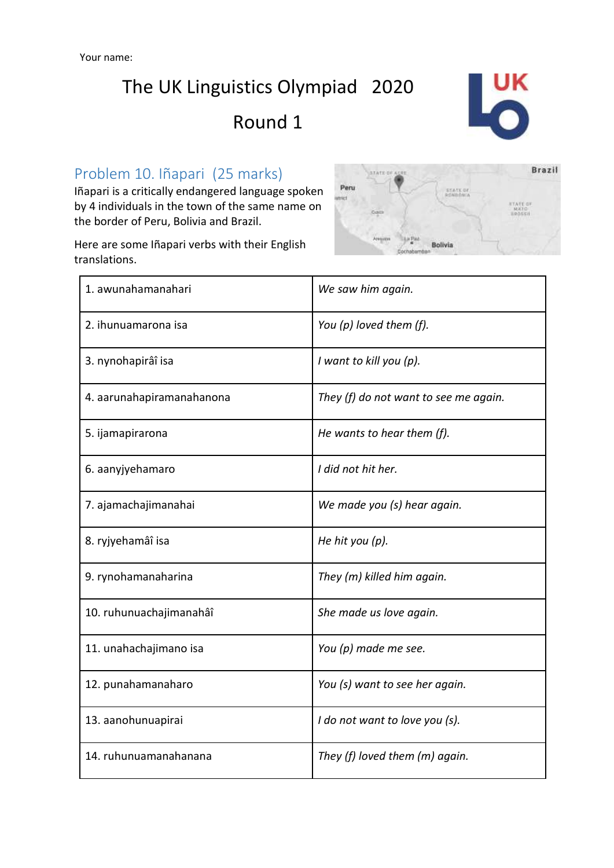The UK Linguistics Olympiad 2020

Round 1



#### Problem 10. Iñapari (25 marks)

Iñapari is a critically endangered language spoken by 4 individuals in the town of the same name on the border of Peru, Bolivia and Brazil.



Here are some Iñapari verbs with their English translations.

| 1. awunahamanahari        | We saw him again.                     |
|---------------------------|---------------------------------------|
| 2. ihunuamarona isa       | You (p) loved them (f).               |
| 3. nynohapirâî isa        | I want to kill you (p).               |
| 4. aarunahapiramanahanona | They (f) do not want to see me again. |
| 5. ijamapirarona          | He wants to hear them $(f)$ .         |
| 6. aanyjyehamaro          | I did not hit her.                    |
| 7. ajamachajimanahai      | We made you (s) hear again.           |
| 8. ryjyehamâî isa         | He hit you (p).                       |
| 9. rynohamanaharina       | They (m) killed him again.            |
| 10. ruhunuachajimanahâî   | She made us love again.               |
| 11. unahachajimano isa    | You (p) made me see.                  |
| 12. punahamanaharo        | You (s) want to see her again.        |
| 13. aanohunuapirai        | I do not want to love you (s).        |
| 14. ruhunuamanahanana     | They (f) loved them (m) again.        |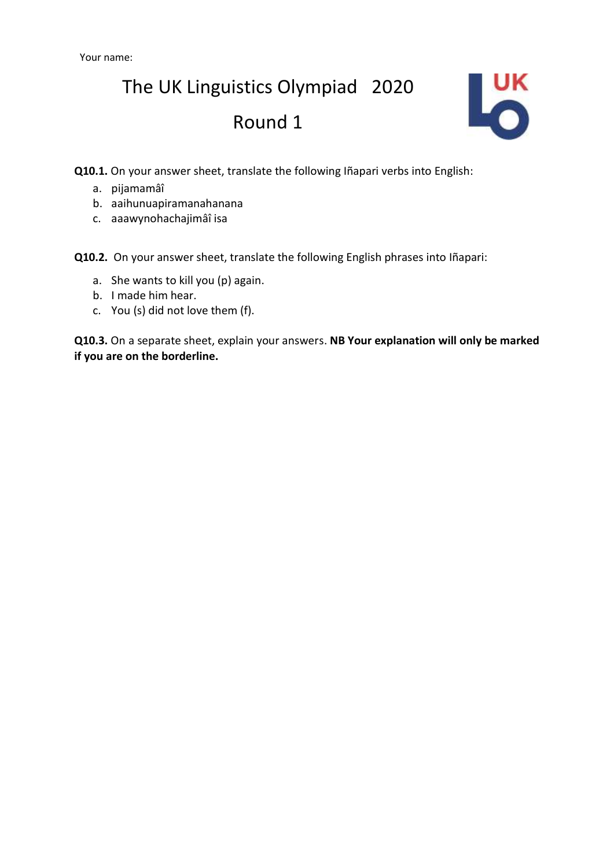## The UK Linguistics Olympiad 2020 Round 1



**Q10.1.** On your answer sheet, translate the following Iñapari verbs into English:

- a. pijamamâî
- b. aaihunuapiramanahanana
- c. aaawynohachajimâî isa

**Q10.2.** On your answer sheet, translate the following English phrases into Iñapari:

- a. She wants to kill you (p) again.
- b. I made him hear.
- c. You (s) did not love them (f).

**Q10.3.** On a separate sheet, explain your answers. **NB Your explanation will only be marked if you are on the borderline.**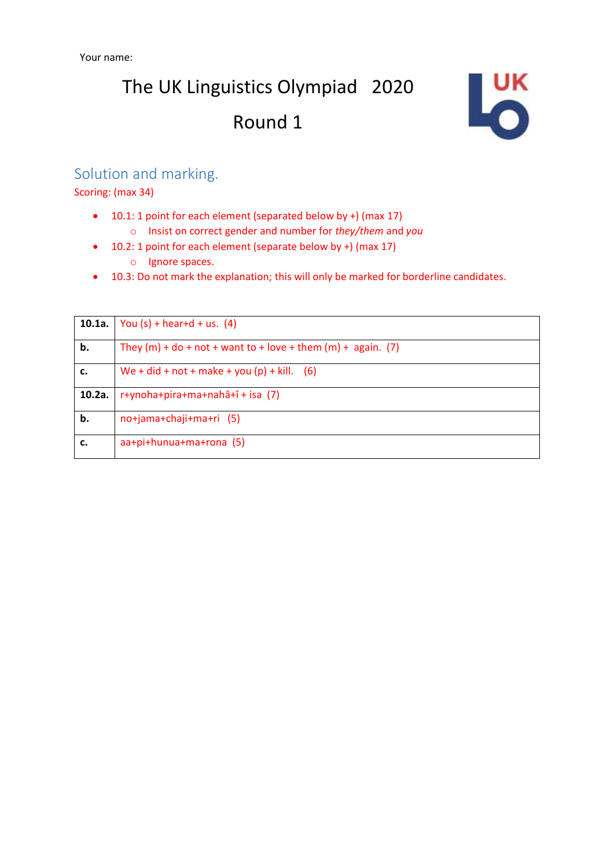# The UK Linguistics Olympiad 2020 Round 1



#### Solution and marking.

Scoring: (max 34)

- 10.1: 1 point for each element (separated below by +) (max 17)
	- o Insist on correct gender and number for *they/them* and *you*
- 10.2: 1 point for each element (separate below by +) (max 17)
	- o Ignore spaces.
- 10.3: Do not mark the explanation; this will only be marked for borderline candidates.

| 10.1a. | You $(s)$ + hear+d + us. $(4)$                                   |
|--------|------------------------------------------------------------------|
| b.     | They $(m)$ + do + not + want to + love + them $(m)$ + again. (7) |
| c.     | We + did + not + make + you (p) + kill. (6)                      |
| 10.2a. | r+ynoha+pira+ma+nahâ+î + isa (7)                                 |
| b.     | no+jama+chaji+ma+ri (5)                                          |
| c.     | aa+pi+hunua+ma+rona (5)                                          |